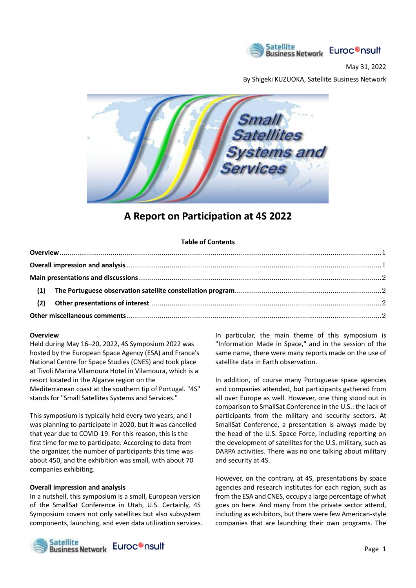

May 31, 2022

By Shigeki KUZUOKA, Satellite Business Network



# **A Report on Participation at 4S 2022**

### **Table of Contents**

#### **Overview**

Held during May 16–20, 2022, 4S Symposium 2022 was hosted by the European Space Agency (ESA) and France's National Centre for Space Studies (CNES) and took place at Tivoli Marina Vilamoura Hotel in Vilamoura, which is a resort located in the Algarve region on the Mediterranean coast at the southern tip of Portugal. "4S" stands for "Small Satellites Systems and Services."

This symposium is typically held every two years, and I was planning to participate in 2020, but it was cancelled that year due to COVID-19. For this reason, this is the first time for me to participate. According to data from the organizer, the number of participants this time was about 450, and the exhibition was small, with about 70 companies exhibiting.

#### **Overall impression and analysis**

In a nutshell, this symposium is a small, European version of the SmallSat Conference in Utah, U.S. Certainly, 4S Symposium covers not only satellites but also subsystem components, launching, and even data utilization services.



In particular, the main theme of this symposium is "Information Made in Space," and in the session of the same name, there were many reports made on the use of satellite data in Earth observation.

In addition, of course many Portuguese space agencies and companies attended, but participants gathered from all over Europe as well. However, one thing stood out in comparison to SmallSat Conference in the U.S.: the lack of participants from the military and security sectors. At SmallSat Conference, a presentation is always made by the head of the U.S. Space Force, including reporting on the development of satellites for the U.S. military, such as DARPA activities. There was no one talking about military and security at 4S.

However, on the contrary, at 4S, presentations by space agencies and research institutes for each region, such as from the ESA and CNES, occupy a large percentage of what goes on here. And many from the private sector attend, including as exhibitors, but there were few American-style companies that are launching their own programs. The